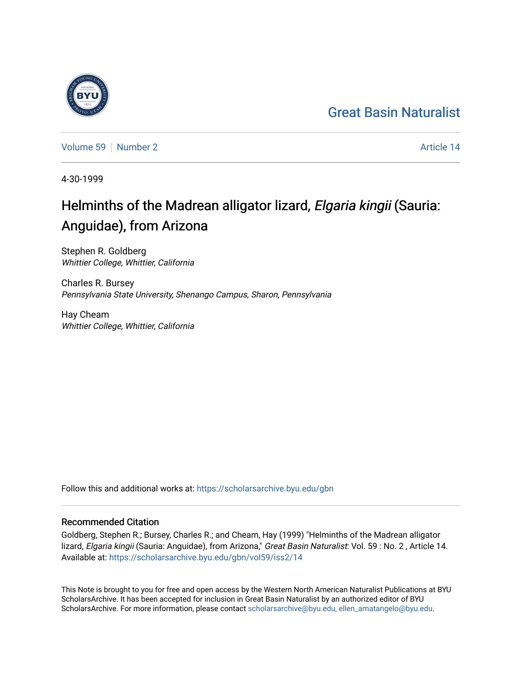#### [Great Basin Naturalist](https://scholarsarchive.byu.edu/gbn)



[Volume 59](https://scholarsarchive.byu.edu/gbn/vol59) [Number 2](https://scholarsarchive.byu.edu/gbn/vol59/iss2) Article 14

4-30-1999

#### Helminths of the Madrean alligator lizard, Elgaria kingii (Sauria: Anguidae), from Arizona

Stephen R. Goldberg Whittier College, Whittier, California

Charles R. Bursey Pennsylvania State University, Shenango Campus, Sharon, Pennsylvania

Hay Cheam Whittier College, Whittier, California

Follow this and additional works at: [https://scholarsarchive.byu.edu/gbn](https://scholarsarchive.byu.edu/gbn?utm_source=scholarsarchive.byu.edu%2Fgbn%2Fvol59%2Fiss2%2F14&utm_medium=PDF&utm_campaign=PDFCoverPages) 

#### Recommended Citation

Goldberg, Stephen R.; Bursey, Charles R.; and Cheam, Hay (1999) "Helminths of the Madrean alligator lizard, Elgaria kingii (Sauria: Anguidae), from Arizona," Great Basin Naturalist: Vol. 59 : No. 2, Article 14. Available at: [https://scholarsarchive.byu.edu/gbn/vol59/iss2/14](https://scholarsarchive.byu.edu/gbn/vol59/iss2/14?utm_source=scholarsarchive.byu.edu%2Fgbn%2Fvol59%2Fiss2%2F14&utm_medium=PDF&utm_campaign=PDFCoverPages) 

This Note is brought to you for free and open access by the Western North American Naturalist Publications at BYU ScholarsArchive. It has been accepted for inclusion in Great Basin Naturalist by an authorized editor of BYU ScholarsArchive. For more information, please contact [scholarsarchive@byu.edu, ellen\\_amatangelo@byu.edu.](mailto:scholarsarchive@byu.edu,%20ellen_amatangelo@byu.edu)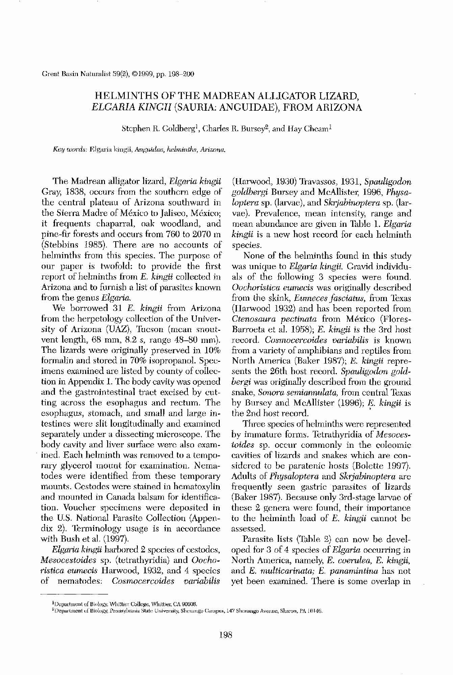Great Basin Naturalist 59(2), ©1999, pp. 198-200

# HELMINTHS OF THE MADREAN ALLIGATOR LIZARD, *ELGARIA KINGII* (SAURIA: ANGUIDAE), FROM ARIZONA

Stephen R. Goldberg<sup>1</sup>, Charles R. Bursey<sup>2</sup>, and Hay Cheam<sup>1</sup>

*Key words:* Elgaria kingii, *Anguidae, helminths, Arizona.*

The Madrean alligator lizard, *Elgaria kingii* Gray, 1838, occurs from the southern edge of the central plateau of Arizona southward in the Sierra Madre of Mexico to Jalisco, Mexico; it frequents chaparral, oak woodland, and pine-fir forests and occurs from 760 to 2070 m (Stebbins 1985). There are no accounts of helminths from this species. The purpose of our paper is twofold: to provide the first report of helminths from E. *kingii* collected in Arizona and to furnish a list of parasites known from the genus *Elgaria.* We borrowed 31 E. *kingii* from Arizona from the herpetology collection of the University of Arizona (UAZ), Tucson (mean snoutvent length, 68 mm, 8.2 S, range 48-80 mm). The lizards were originally preserved in 10% formalin and stored in 70% isopropanol. Specimens examined are listed by county of collection in Appendix 1. The body cavity was opened and the gastrointestinal tract excised by cutting across the esophagus and rectum. The esophagus, stomach, and small and large intestines were slit longitudinally and examined separately under a dissecting microscope. The body cavity and liver surface were also examined. Each helminth was removed to a temporary glycerol mount for examination. Nematodes were identified from these temporary mounts. Ccstodes wcre stained in hematoxylin and mounted in Canada balsam for identification. Voucher specimens were deposited in the U.S. National Parasite Collection (Appendix 2). Terminology usage is in accordance with Bush et al. (1997). *Elgaria kingii* harbored 2 species of cestodes, *Mesocestoides* sp. (tetrathyridia) and *Oochoristica eurnecis* Harwood, 1932, and 4 species of nematodes: *Cosrnocercoides variabilis*

(Harwood, 1930) Travassos, 1931, *Spauligodon goldbergi* Bursey and McAllister, 1996, *Physaloptera* sp. (larvae), and *Skrjabinoptera* sp. (larvae). Prevalence, mean intensity, range and mean abundance are given in Table 1. *Elgaria kingii* is a new host record for each helminth species.

None of the helminths found in this study was unique to *Elgaria kingii.* Gravid individuals of the following 3 species were found. *Oochoristica eumecis* was originally described from the skink, *Eumeces fasciatus,* from Texas (Ilarwood 1932) and has been reported from *Ctenosaura pectinata* from Mexico (Flores-Barroeta et al. 1958); E. *kingii* is the 3rd host record. *Cosmocercoides variabilis* is known from a variety of amphibians and reptiles from North America (Baker 1987); E. *kingii* represents the 26th bost record. *Spauligodon goldbergi* was originally described from the ground snake, *Sonora semiannulata*, from central Texas by Bursey and McAllister (1996); *E. kingii* is , the 2nd host record. Three species of helminths were represented by immature forms. Tetrathyridia of *Mesocestoides* sp. occur commonly in the coleomic cavities of lizards and snakes which are considered to be paratenic hosts (Bolette 1997). Adults of *Physaloptera* and *Skrjabinoptera* are frequently seen gastric parasites of lizards (Baker 1987). Because only 3rd-stage larvac of these 2 genera were found, their importance to the helminth load of E. *kingii* cannot be assessed. Parasite lists (Table 2) can now be developed for 3 of 4 species of *Elgaria* occurring in North America, namely, E. *coerulea,* E. *kingii,* and E. *multicarinata;* E. *panamintina* has not yet been examined. There is some overlap in

#### <sup>2</sup>Department of Biology, Pennsylvania State University, Shenango Campus, 147 Shenango Avenue, Sharon, PA 16146.

198

<sup>&</sup>lt;sup>1</sup>Department of Biology, Whittier College, Whittier, CA 90608.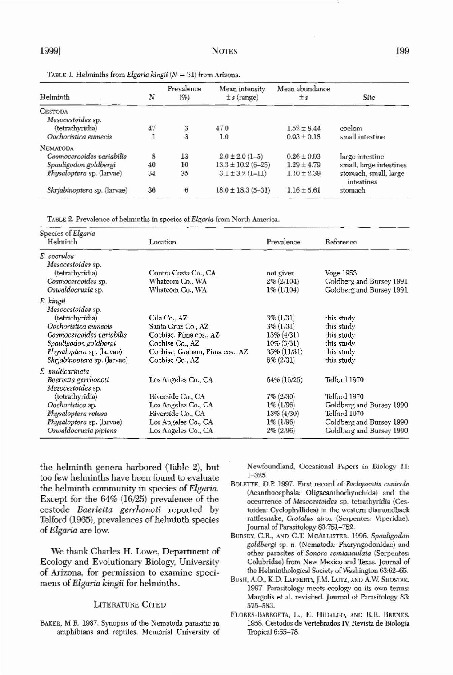1999] NOTES 199

TABLE L Helminths from *Elgaria kingii (N* = 31) from Arizona.

| Helminth                    | N  | Prevalence<br>$(\%$ | Mean intensity<br>$\pm s$ (range) | Mean abundance<br>$\pm s$ | Site                                |
|-----------------------------|----|---------------------|-----------------------------------|---------------------------|-------------------------------------|
| <b>CESTODA</b>              |    |                     |                                   |                           |                                     |
| Mesocestoides sp.           |    |                     |                                   |                           |                                     |
| (tetrathyridia)             | 47 | $\mathfrak{Z}$      | 47.0                              | $1.52 \pm 8.44$           | coelom                              |
| Oochoristica eumecis        |    | 3                   | 1.0                               | $0.03 \pm 0.18$           | small intestine                     |
| NEMATODA                    |    |                     |                                   |                           |                                     |
| Cosmocercoides variabilis   | 8  | 13                  | $2.0 \pm 2.0$ (1-5)               | $0.26 \pm 0.93$           | large intestine                     |
| Spauligodon goldbergi       | 40 | 10                  | $13.3 \pm 10.2 (6 - 25)$          | $1.29 \pm 4.79$           | small, large intestines             |
| Physaloptera sp. (larvae)   | 34 | 35                  | $3.1 \pm 3.2$ (1-11)              | $1.10 \pm 2.39$           | stomach, small, large<br>intestines |
| Skrjabinoptera sp. (larvae) | 36 | $\boldsymbol{6}$    | $18.0 \pm 18.3 (5 - 31)$          | $1.16 \pm 5.61$           | stomach                             |

TABLE 2. Prevalence of helminths in species of Elgaria from North America.

| Species of Elgaria<br>Helminth | Location             | Prevalence    | Reference                |
|--------------------------------|----------------------|---------------|--------------------------|
| E. coerulea                    |                      |               |                          |
| Mesocestoides sp.              |                      |               |                          |
| (tetrathyridia)                | Contra Costa Co., CA | not given     | Voge 1953                |
| Cosmocercoides sp.             | Whatcom Co., WA      | $2\% (2/104)$ | Goldberg and Bursey 1991 |
| Oswaldocruzia sp.              | Whatcom Co., WA      | $1\% (1/104)$ | Goldberg and Bursey 1991 |
| E. kingii                      |                      |               |                          |

# BAKER, M.R. 1987. Synopsis of the Nematoda parasitic in amphibians and reptiles. Memorial University of

#### FLORES-BARROETA, L., E. HIDALGO, AND R.R. BRENES. 1958. Céstodos de Vertebrados IV. Revista de Biología Tropical  $6:55-78$ .

| Mesocestoides sp.<br>(tetrathyridia) | Gila Co., AZ                   | $3\% (1/31)$   | this study               |
|--------------------------------------|--------------------------------|----------------|--------------------------|
| Oochoristica eumecis                 |                                |                |                          |
|                                      | Santa Cruz Co., AZ             | $3\% (1/31)$   | this study               |
| Cosmocercoides variabilis            | Cochise, Pima cos., AZ         | $13\% (4/31)$  | this study               |
| Spauligodon goldbergi                | Cochise Co., AZ                | $10\% (3/31)$  | this study               |
| <i>Physaloptera sp.</i> (larvae)     | Cochise, Graham, Pima cos., AZ | $35\% (11/31)$ | this study               |
| Skrjabinoptera sp. (larvae)          | Cochise Co., AZ                | $6\% (2/31)$   | this study               |
| E. multicarinata                     |                                |                |                          |
| Baerietta gerrhonoti                 | Los Angeles Co., CA            | 64% (16/25)    | Telford 1970             |
| Mesocestoides sp.                    |                                |                |                          |
| (tetrathyridia)                      | Riverside Co., CA              | $7\% (2/30)$   | Telford 1970             |
| Oochoristica sp.                     | Los Angeles Co., CA            | $1\% (1/96)$   | Goldberg and Bursey 1990 |
| Physaloptera retusa                  | Riverside Co., CA              | 13% (4/30)     | Telford 1970             |
| <i>Physaloptera</i> sp. (larvae)     | Los Angeles Co., CA            | $1\% (1/96)$   | Goldberg and Bursey 1990 |
| Oswaldocruzia pipiens                | Los Angeles Co., CA            | $2\% (2/96)$   | Goldberg and Bursey 1990 |

the helminth genera barbored (Table 2), but too few helminths bave been found to evaluate the belminth community in species of *Elgatia.* Except for the  $64\%$  (16/25) prevalence of the cestode *Baerietta* gerrhonoti reported by Telford (1965), prevalences of helminth species of*Elgatia* are low.

We thank Charles H. Lowe, Department of Ecology and Evolutionary Biology, University of Arizona, for permission to examine specimens of *Elgatia kingii* for helminths.

LITERATURE CITED

Newfoundland, Occasional Papers in Biology 11: 1-325.

- BOLETTE, D.E 1997. First record of *Pachvsentis canicola* (Acanthocephala: Oligacanthorhynchida) and the occurrence of *Mesocestcides* sp. tetrathyridia (Cestoidea: Cyclophyllidea) in the western diamondback rattlesnake, *Crota/us atrar* (Serpentes: Viperidae). Journal of Parasitology 83:751-752.
- BURSEY, C.R., AND C.T. MCALLISTER. 1996. Spauligodon *goldbet-gi* sp. n. (Nematoda: Pharyngodonidae) and other parasites of *Sonora semianntJata* (Serpentes: Colubridae) from New Mexico and Texas. Journal of the HelminthologicaJ Society of Washington 63:62-65.
- BUSH, A.O., K.D. LAFFERTY, J.M. LOTZ, AND A.W. SHOSTAK. 1997. Parasitology meets ecology on its own terms: Margolis et al. revisited. Journal of Parasitology 83: 575-583.